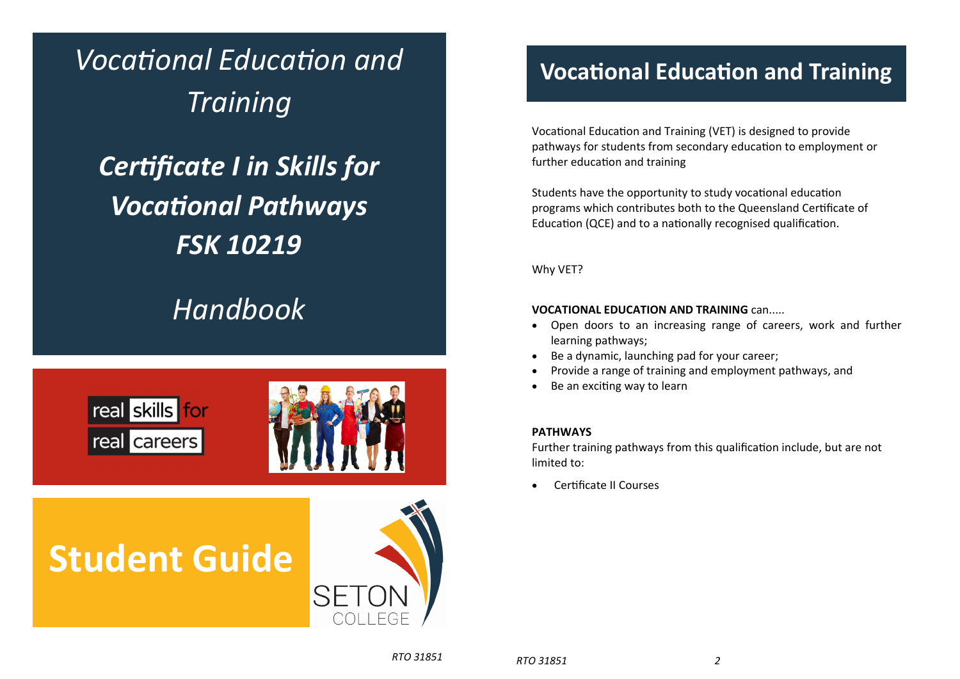*VocaƟonal EducaƟon and Training CerƟficate I in Skills for VocaƟonal Pathways FSK 10219* 

### *Handbook*



# **Student Guide**



### **VocaƟonal EducaƟon and Training**

Vocational Education and Training (VET) is designed to provide pathways for students from secondary education to employment or further education and training

Students have the opportunity to study vocational education programs which contributes both to the Queensland Certificate of Education (QCE) and to a nationally recognised qualification.

Why VET?

#### **VOCATIONAL EDUCATION AND TRAINING** can.....

- $\bullet$  Open doors to an increasing range of careers, work and further learning pathways;
- Be <sup>a</sup> dynamic, launching pad for your career;
- $\bullet$ Provide <sup>a</sup> range of training and employment pathways, and
- $\bullet$ Be an exciting way to learn

#### **PATHWAYS**

Further training pathways from this qualification include, but are not limited to:

 $\bullet$ **Certificate II Courses**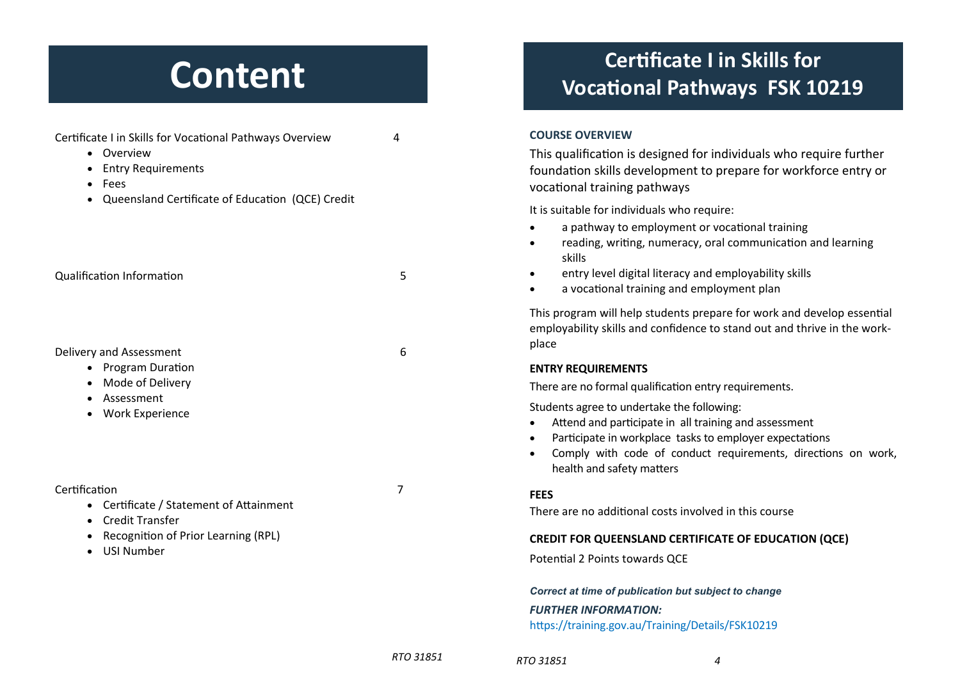### **Content**

Certificate I in Skills for Vocational Pathways Overview 4

| Overview<br>$\bullet$<br><b>Entry Requirements</b><br>Fees<br>$\bullet$<br>Queensland Certificate of Education (QCE) Credit<br>$\bullet$                            |                |
|---------------------------------------------------------------------------------------------------------------------------------------------------------------------|----------------|
| <b>Qualification Information</b>                                                                                                                                    | 5              |
| Delivery and Assessment<br><b>Program Duration</b><br>$\bullet$<br>Mode of Delivery<br>$\bullet$<br>• Assessment<br>• Work Experience                               | 6              |
| Certification<br>• Certificate / Statement of Attainment<br>• Credit Transfer<br>Recognition of Prior Learning (RPL)<br>$\bullet$<br><b>USI Number</b><br>$\bullet$ | $\overline{7}$ |
|                                                                                                                                                                     | RTO 31851      |

### **CerƟficate I in Skills for VocaƟonal Pathways FSK 10219**

#### **COURSE OVERVIEW**

This qualification is designed for individuals who require further foundation skills development to prepare for workforce entry or vocaƟonal training pathways

It is suitable for individuals who require:

- $\bullet$ a pathway to employment or vocational training
- $\bullet$ reading, writing, numeracy, oral communication and learning skills
- $\bullet$ entry level digital literacy and employability skills
- $\bullet$ a vocational training and employment plan

This program will help students prepare for work and develop essential employability skills and confidence to stand out and thrive in the workplace

#### **ENTRY REQUIREMENTS**

There are no formal qualification entry requirements.

Students agree to undertake the following:

- $\bullet$ Attend and participate in all training and assessment
- $\bullet$ Participate in workplace tasks to employer expectations
- $\bullet$ Comply with code of conduct requirements, directions on work, health and safety matters

#### **FEES**

There are no additional costs involved in this course

#### **CREDIT FOR QUEENSLAND CERTIFICATE OF EDUCATION (QCE)**

Potential 2 Points towards QCE

*Correct at time of publication but subject to change FURTHER INFORMATION:* https://training.gov.au/Training/Details/FSK10219

```
RTO 31851 4
```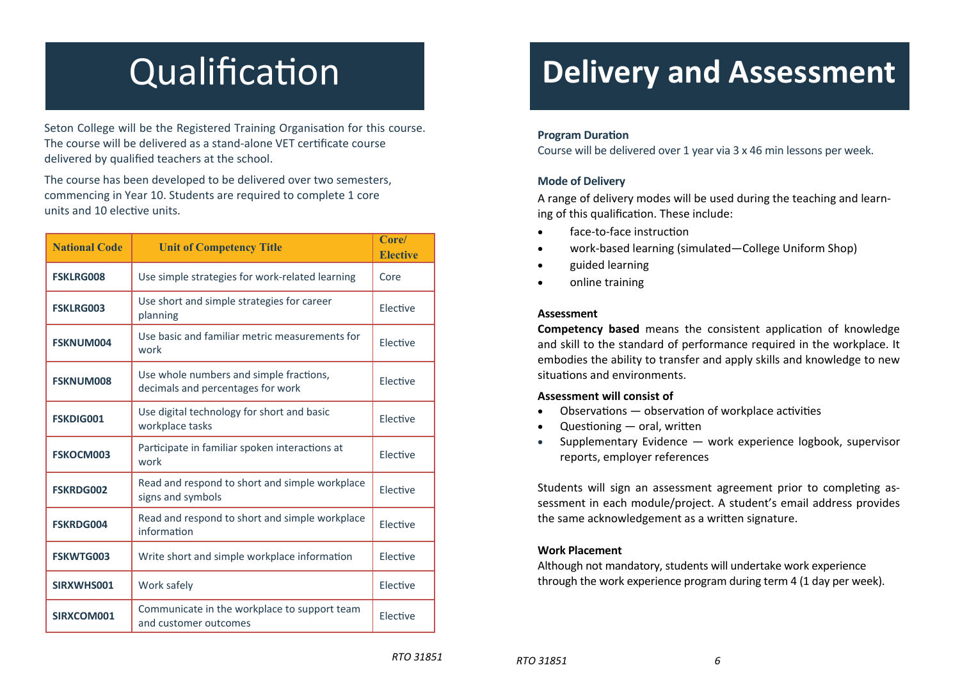# **Qualification**

Seton College will be the Registered Training Organisation for this course. The course will be delivered as a stand-alone VET certificate course delivered by qualified teachers at the school.

The course has been developed to be delivered over two semesters, commencing in Year 10. Students are required to complete 1 core units and 10 elective units.

| <b>National Code</b> | <b>Unit of Competency Title</b>                                              | Core/<br><b>Elective</b> |
|----------------------|------------------------------------------------------------------------------|--------------------------|
| <b>FSKLRG008</b>     | Use simple strategies for work-related learning                              | Core                     |
| <b>FSKLRG003</b>     | Use short and simple strategies for career<br>planning                       | Elective                 |
| <b>FSKNUM004</b>     | Use basic and familiar metric measurements for<br>work                       | Elective                 |
| <b>FSKNUM008</b>     | Use whole numbers and simple fractions,<br>decimals and percentages for work | Elective                 |
| <b>FSKDIG001</b>     | Use digital technology for short and basic<br>workplace tasks                | Elective                 |
| <b>FSKOCM003</b>     | Participate in familiar spoken interactions at<br>work                       | Elective                 |
| <b>FSKRDG002</b>     | Read and respond to short and simple workplace<br>signs and symbols          | Elective                 |
| <b>FSKRDG004</b>     | Read and respond to short and simple workplace<br>information                | Elective                 |
| <b>FSKWTG003</b>     | Write short and simple workplace information                                 | Elective                 |
| SIRXWHS001           | Work safely                                                                  | Elective                 |
| SIRXCOM001           | Communicate in the workplace to support team<br>and customer outcomes        | Elective                 |

### **Delivery and Assessment**

#### **Program Duration**

Course will be delivered over 1 year via 3 <sup>x</sup> 46 min lessons per week.

#### **Mode of Delivery**

A range of delivery modes will be used during the teaching and learning of this qualification. These include:

- $\bullet$ face-to-face instruction
- $\bullet$ work-based learning (simulated—College Uniform Shop)
- $\bullet$ guided learning
- $\bullet$ online training

#### **Assessment**

**Competency based** means the consistent application of knowledge and skill to the standard of performance required in the workplace. It embodies the ability to transfer and apply skills and knowledge to new situations and environments.

#### **Assessment will consist of**

- $\bullet$ Observations  $-$  observation of workplace activities
- $\bullet$ Questioning — oral, written
- $\bullet$  Supplementary Evidence — work experience logbook, supervisor reports, employer references

Students will sign an assessment agreement prior to completing assessment in each module/project. A student's email address provides the same acknowledgement as a written signature.

#### **Work Placement**

Although not mandatory, students will undertake work experience through the work experience program during term 4 (1 day per week).